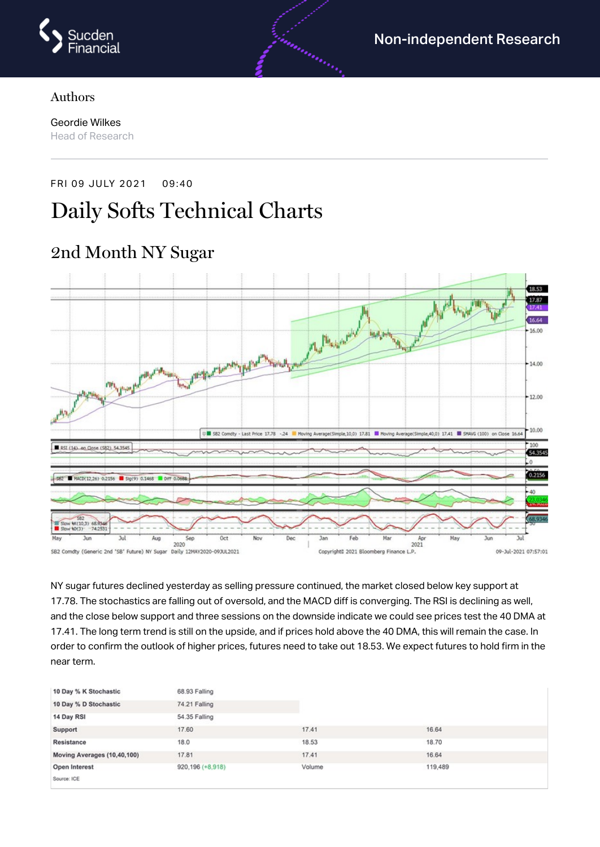

#### Authors

Geordie Wilkes Head of Research

FRI 09 JULY 2021 09:40

# Daily Softs Technical Charts



2nd Month NY Sugar

NY sugar futures declined yesterday as selling pressure continued, the market closed below key support at 17.78. The stochastics are falling out of oversold, and the MACD diff is converging. The RSI is declining as well, and the close below support and three sessions on the downside indicate we could see prices test the 40 DMA at 17.41. The long term trend is still on the upside, and if prices hold above the 40 DMA, this will remain the case. In order to confirm the outlook of higher prices, futures need to take out 18.53. We expect futures to hold firm in the near term.

| 10 Day % K Stochastic       | 68.93 Falling    |        |         |  |
|-----------------------------|------------------|--------|---------|--|
| 10 Day % D Stochastic       | 74.21 Falling    |        |         |  |
| 14 Day RSI                  | 54.35 Falling    |        |         |  |
| Support                     | 17.60            | 17.41  | 16.64   |  |
| Resistance                  | 18.0             | 18.53  | 18.70   |  |
| Moving Averages (10,40,100) | 17.81            | 17.41  | 16.64   |  |
| Open Interest               | 920,196 (+8,918) | Volume | 119,489 |  |
| Source: ICE                 |                  |        |         |  |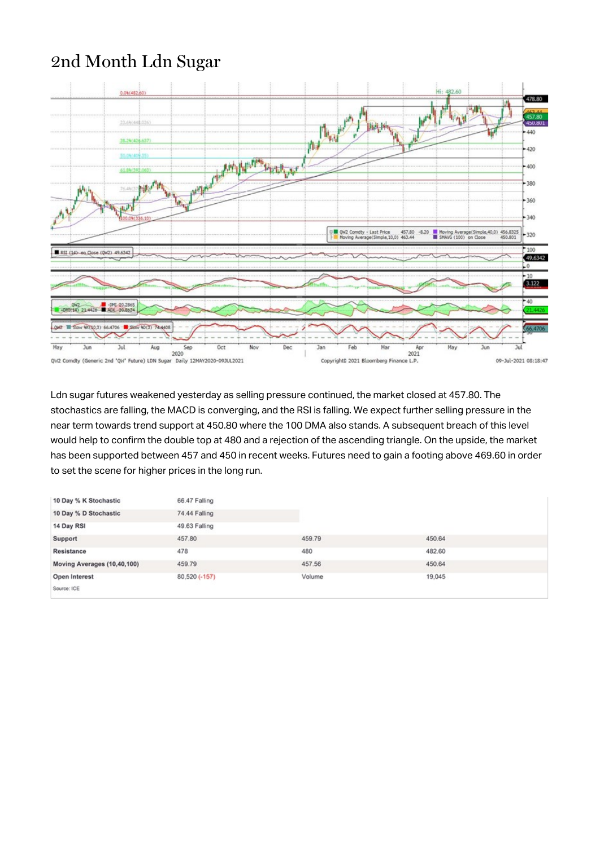#### 2nd Month Ldn Sugar



Ldn sugar futures weakened yesterday as selling pressure continued, the market closed at 457.80. The stochastics are falling, the MACD is converging, and the RSI is falling. We expect further selling pressure in the near term towards trend support at 450.80 where the 100 DMA also stands. A subsequent breach of this level would help to confirm the double top at 480 and a rejection of the ascending triangle. On the upside, the market has been supported between 457 and 450 in recent weeks. Futures need to gain a footing above 469.60 in order to set the scene for higher prices in the long run.

| 10 Day % K Stochastic       | 66.47 Falling |        |        |
|-----------------------------|---------------|--------|--------|
| 10 Day % D Stochastic       | 74.44 Falling |        |        |
| 14 Day RSI                  | 49.63 Falling |        |        |
| Support                     | 457.80        | 459.79 | 450.64 |
| Resistance                  | 478           | 480    | 482.60 |
| Moving Averages (10,40,100) | 459.79        | 457.56 | 450.64 |
| Open Interest               | 80,520 (-157) | Volume | 19,045 |
| Source: ICE                 |               |        |        |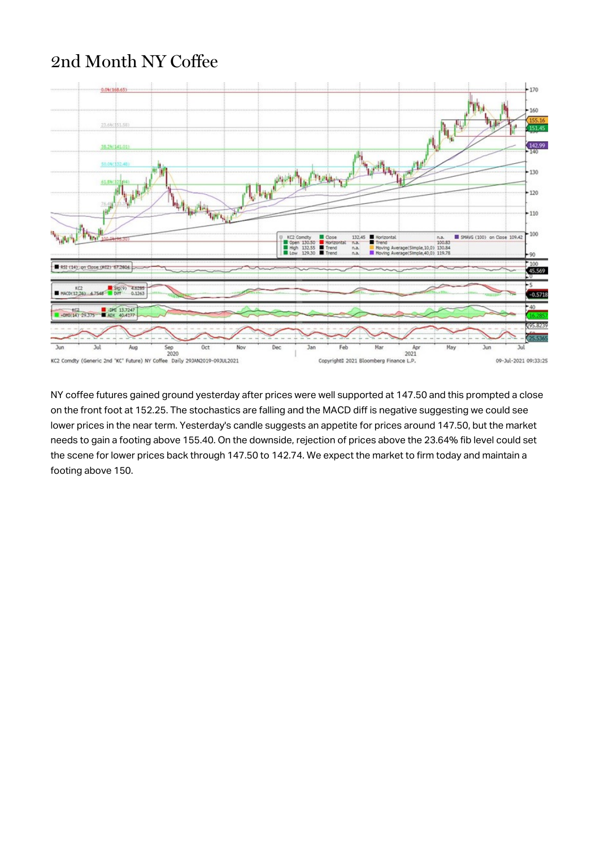### 2nd Month NY Coffee



NY coffee futures gained ground yesterday after prices were well supported at 147.50 and this prompted a close on the front foot at 152.25. The stochastics are falling and the MACD diff is negative suggesting we could see lower prices in the near term. Yesterday's candle suggests an appetite for prices around 147.50, but the market needs to gain a footing above 155.40. On the downside, rejection of prices above the 23.64% fib level could set the scene for lower prices back through 147.50 to 142.74. We expect the market to firm today and maintain a footing above 150.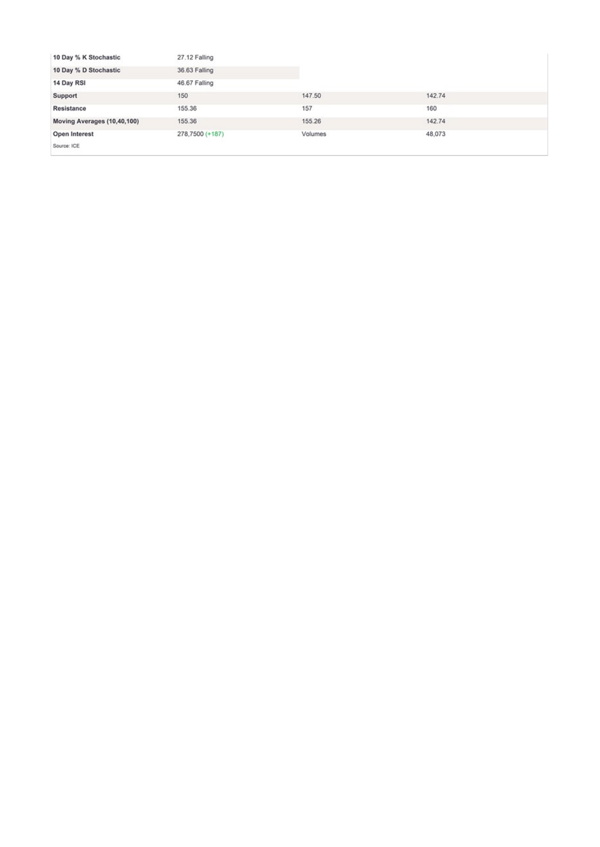| 10 Day % K Stochastic       | 27.12 Falling   |         |        |
|-----------------------------|-----------------|---------|--------|
| 10 Day % D Stochastic       | 36.63 Falling   |         |        |
| 14 Day RSI                  | 46.67 Falling   |         |        |
| Support                     | 150             | 147.50  | 142.74 |
| Resistance                  | 155.36          | 157     | 160    |
| Moving Averages (10,40,100) | 155.36          | 155.26  | 142.74 |
| Open Interest               | 278,7500 (+187) | Volumes | 48,073 |
| Source: ICE                 |                 |         |        |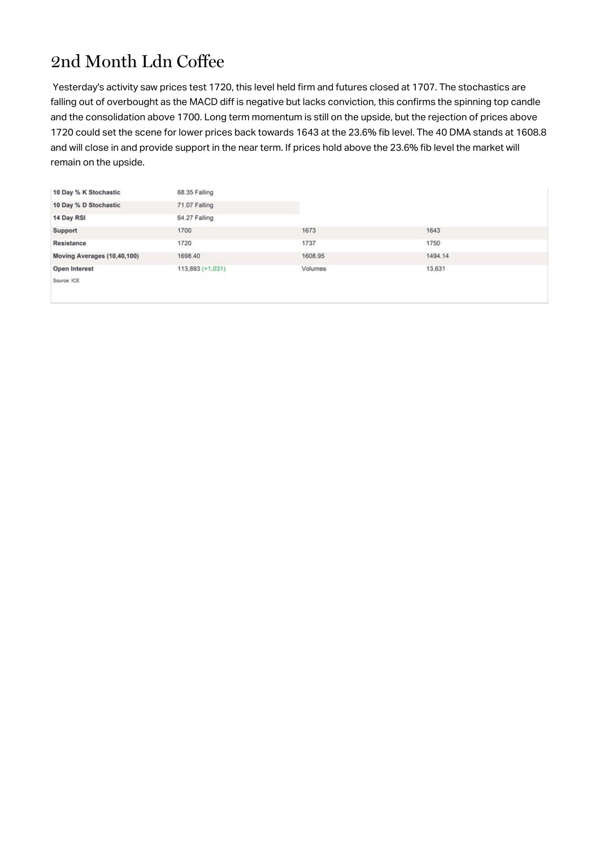## 2nd Month Ldn Coffee

Yesterday's activity saw prices test 1720, this level held firm and futures closed at 1707. The stochastics are falling out of overbought as the MACD diff is negative but lacks conviction, this confirms the spinning top candle and the consolidation above 1700. Long term momentum is still on the upside, but the rejection of prices above 1720 could set the scene for lower prices back towards 1643 at the 23.6% fib level. The 40 DMA stands at 1608.8 and will close in and provide support in the near term. If prices hold above the 23.6% fib level the market will remain on the upside.

| 10 Day % K Stochastic       | 68.35 Falling    |         |         |
|-----------------------------|------------------|---------|---------|
| 10 Day % D Stochastic       | 71.07 Falling    |         |         |
| 14 Day RSI                  | 64.27 Falling    |         |         |
| Support                     | 1700             | 1673    | 1643    |
| Resistance                  | 1720             | 1737    | 1750    |
| Moving Averages (10,40,100) | 1698.40          | 1608.95 | 1494.14 |
| Open Interest               | 113,893 (+1,031) | Volumes | 13,631  |
| Source: ICE                 |                  |         |         |
|                             |                  |         |         |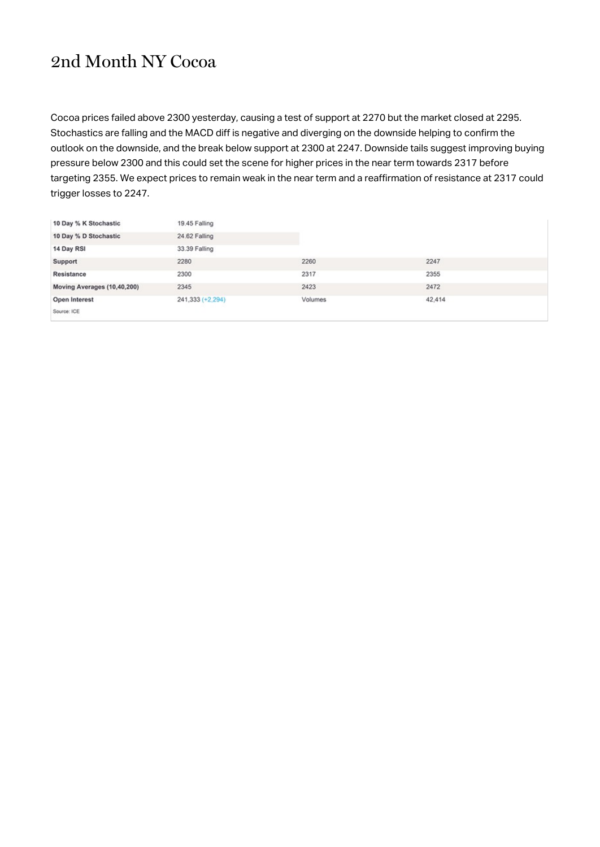#### 2nd Month NY Cocoa

Cocoa prices failed above 2300 yesterday, causing a test of support at 2270 but the market closed at 2295. Stochastics are falling and the MACD diff is negative and diverging on the downside helping to confirm the outlook on the downside, and the break below support at 2300 at 2247. Downside tails suggest improving buying pressure below 2300 and this could set the scene for higher prices in the near term towards 2317 before targeting 2355. We expect prices to remain weak in the near term and a reaffirmation of resistance at 2317 could trigger losses to 2247.

| 10 Day % K Stochastic       | 19.45 Falling    |         |        |
|-----------------------------|------------------|---------|--------|
| 10 Day % D Stochastic       | 24.62 Falling    |         |        |
| 14 Day RSI                  | 33.39 Falling    |         |        |
| Support                     | 2280             | 2260    | 2247   |
| Resistance                  | 2300             | 2317    | 2355   |
| Moving Averages (10,40,200) | 2345             | 2423    | 2472   |
| Open Interest               | 241,333 (+2,294) | Volumes | 42,414 |
| Source: ICE                 |                  |         |        |